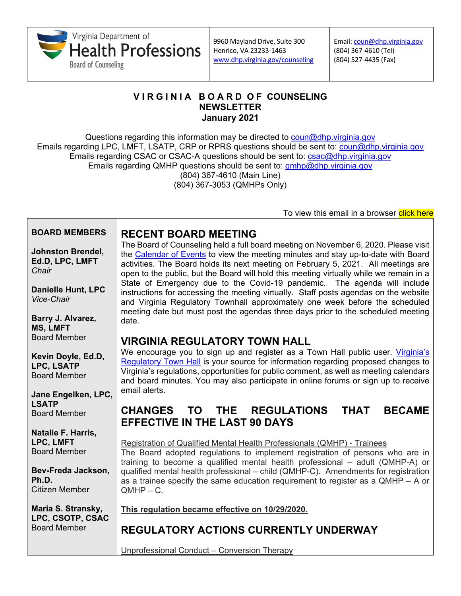

Email: [coun@dhp.virginia.gov](mailto:coun@dhp.virginia.gov) (804) 367-4610 (Tel) (804) 527-4435 (Fax)

#### **V I R G I N I A B O A R D O F COUNSELING NEWSLETTER January 2021**

Questions regarding this information may be directed to [coun@dhp.virginia.gov](mailto:coun@dhp.virginia.gov) Emails regarding LPC, LMFT, LSATP, CRP or RPRS questions should be sent to: [coun@dhp.virginia.gov](mailto:coun@dhp.virginia.gov) Emails regarding CSAC or CSAC-A questions should be sent to: **csac@dhp.virginia.gov** Emails regarding QMHP questions should be sent to: *qmhp@dhp.virginia.gov* (804) 367-4610 (Main Line) (804) 367-3053 (QMHPs Only)

To view this email in a browser click here

| <b>BOARD MEMBERS</b>                                                                            | <b>RECENT BOARD MEETING</b>                                                                                                                                                                                                                                                                                                                                                                                                                                                                                                                                                                                                                                                                       |
|-------------------------------------------------------------------------------------------------|---------------------------------------------------------------------------------------------------------------------------------------------------------------------------------------------------------------------------------------------------------------------------------------------------------------------------------------------------------------------------------------------------------------------------------------------------------------------------------------------------------------------------------------------------------------------------------------------------------------------------------------------------------------------------------------------------|
| <b>Johnston Brendel,</b><br>Ed.D, LPC, LMFT<br>Chair<br><b>Danielle Hunt, LPC</b><br>Vice-Chair | The Board of Counseling held a full board meeting on November 6, 2020. Please visit<br>the Calendar of Events to view the meeting minutes and stay up-to-date with Board<br>activities. The Board holds its next meeting on February 5, 2021. All meetings are<br>open to the public, but the Board will hold this meeting virtually while we remain in a<br>State of Emergency due to the Covid-19 pandemic. The agenda will include<br>instructions for accessing the meeting virtually. Staff posts agendas on the website<br>and Virginia Regulatory Townhall approximately one week before the scheduled<br>meeting date but must post the agendas three days prior to the scheduled meeting |
| Barry J. Alvarez,<br><b>MS, LMFT</b>                                                            | date.                                                                                                                                                                                                                                                                                                                                                                                                                                                                                                                                                                                                                                                                                             |
| <b>Board Member</b>                                                                             | <b>VIRGINIA REGULATORY TOWN HALL</b>                                                                                                                                                                                                                                                                                                                                                                                                                                                                                                                                                                                                                                                              |
| Kevin Doyle, Ed.D,<br>LPC, LSATP<br><b>Board Member</b>                                         | We encourage you to sign up and register as a Town Hall public user. Virginia's<br>Regulatory Town Hall is your source for information regarding proposed changes to<br>Virginia's regulations, opportunities for public comment, as well as meeting calendars<br>and board minutes. You may also participate in online forums or sign up to receive                                                                                                                                                                                                                                                                                                                                              |
| Jane Engelken, LPC,                                                                             | email alerts.                                                                                                                                                                                                                                                                                                                                                                                                                                                                                                                                                                                                                                                                                     |
| <b>LSATP</b><br><b>Board Member</b>                                                             | TO THE REGULATIONS<br><b>THAT</b><br><b>BECAME</b><br><b>CHANGES</b><br><b>EFFECTIVE IN THE LAST 90 DAYS</b>                                                                                                                                                                                                                                                                                                                                                                                                                                                                                                                                                                                      |
| Natalie F. Harris,<br>LPC, LMFT<br><b>Board Member</b>                                          | Registration of Qualified Mental Health Professionals (QMHP) - Trainees<br>The Board adopted regulations to implement registration of persons who are in<br>training to become a qualified mental health professional - adult (QMHP-A) or                                                                                                                                                                                                                                                                                                                                                                                                                                                         |
| Bev-Freda Jackson,<br>Ph.D.<br><b>Citizen Member</b>                                            | qualified mental health professional - child (QMHP-C). Amendments for registration<br>as a trainee specify the same education requirement to register as a QMHP - A or<br>$QMHP - C.$                                                                                                                                                                                                                                                                                                                                                                                                                                                                                                             |
| Maria S. Stransky,                                                                              | This regulation became effective on 10/29/2020.                                                                                                                                                                                                                                                                                                                                                                                                                                                                                                                                                                                                                                                   |
| LPC, CSOTP, CSAC<br><b>Board Member</b>                                                         | <b>REGULATORY ACTIONS CURRENTLY UNDERWAY</b>                                                                                                                                                                                                                                                                                                                                                                                                                                                                                                                                                                                                                                                      |
|                                                                                                 | Unprofessional Conduct - Conversion Therapy                                                                                                                                                                                                                                                                                                                                                                                                                                                                                                                                                                                                                                                       |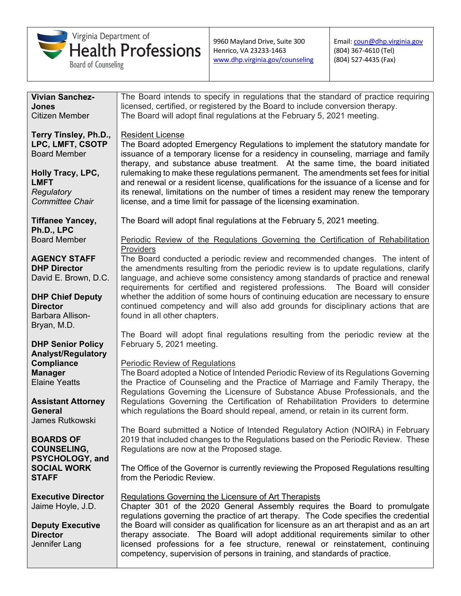

Email: [coun@dhp.virginia.gov](mailto:coun@dhp.virginia.gov) (804) 367-4610 (Tel) (804) 527-4435 (Fax)

| <b>Vivian Sanchez-</b>                 | The Board intends to specify in regulations that the standard of practice requiring                                                                              |
|----------------------------------------|------------------------------------------------------------------------------------------------------------------------------------------------------------------|
| Jones                                  | licensed, certified, or registered by the Board to include conversion therapy.                                                                                   |
| <b>Citizen Member</b>                  | The Board will adopt final regulations at the February 5, 2021 meeting.                                                                                          |
|                                        |                                                                                                                                                                  |
| Terry Tinsley, Ph.D.,                  | <b>Resident License</b>                                                                                                                                          |
| LPC, LMFT, CSOTP                       | The Board adopted Emergency Regulations to implement the statutory mandate for                                                                                   |
| <b>Board Member</b>                    | issuance of a temporary license for a residency in counseling, marriage and family                                                                               |
|                                        | therapy, and substance abuse treatment. At the same time, the board initiated                                                                                    |
| Holly Tracy, LPC,                      | rulemaking to make these regulations permanent. The amendments set fees for initial                                                                              |
| <b>LMFT</b>                            | and renewal or a resident license, qualifications for the issuance of a license and for                                                                          |
| Regulatory                             | its renewal, limitations on the number of times a resident may renew the temporary                                                                               |
| <b>Committee Chair</b>                 | license, and a time limit for passage of the licensing examination.                                                                                              |
|                                        |                                                                                                                                                                  |
| <b>Tiffanee Yancey,</b>                | The Board will adopt final regulations at the February 5, 2021 meeting.                                                                                          |
| Ph.D., LPC                             |                                                                                                                                                                  |
| <b>Board Member</b>                    | Periodic Review of the Regulations Governing the Certification of Rehabilitation                                                                                 |
|                                        | Providers                                                                                                                                                        |
| <b>AGENCY STAFF</b>                    | The Board conducted a periodic review and recommended changes. The intent of                                                                                     |
| <b>DHP Director</b>                    | the amendments resulting from the periodic review is to update regulations, clarify                                                                              |
| David E. Brown, D.C.                   | language, and achieve some consistency among standards of practice and renewal                                                                                   |
|                                        | requirements for certified and registered professions. The Board will consider                                                                                   |
| <b>DHP Chief Deputy</b>                | whether the addition of some hours of continuing education are necessary to ensure                                                                               |
| <b>Director</b>                        | continued competency and will also add grounds for disciplinary actions that are                                                                                 |
| Barbara Allison-                       | found in all other chapters.                                                                                                                                     |
| Bryan, M.D.                            |                                                                                                                                                                  |
|                                        | The Board will adopt final regulations resulting from the periodic review at the                                                                                 |
| <b>DHP Senior Policy</b>               | February 5, 2021 meeting.                                                                                                                                        |
| <b>Analyst/Regulatory</b>              |                                                                                                                                                                  |
| <b>Compliance</b>                      | <b>Periodic Review of Regulations</b>                                                                                                                            |
| <b>Manager</b><br><b>Elaine Yeatts</b> | The Board adopted a Notice of Intended Periodic Review of its Regulations Governing                                                                              |
|                                        | the Practice of Counseling and the Practice of Marriage and Family Therapy, the<br>Regulations Governing the Licensure of Substance Abuse Professionals, and the |
| <b>Assistant Attorney</b>              | Regulations Governing the Certification of Rehabilitation Providers to determine                                                                                 |
| <b>General</b>                         | which regulations the Board should repeal, amend, or retain in its current form.                                                                                 |
| <b>James Rutkowski</b>                 |                                                                                                                                                                  |
|                                        | The Board submitted a Notice of Intended Regulatory Action (NOIRA) in February                                                                                   |
| <b>BOARDS OF</b>                       | 2019 that included changes to the Regulations based on the Periodic Review. These                                                                                |
| <b>COUNSELING,</b>                     | Regulations are now at the Proposed stage.                                                                                                                       |
| PSYCHOLOGY, and                        |                                                                                                                                                                  |
| <b>SOCIAL WORK</b>                     | The Office of the Governor is currently reviewing the Proposed Regulations resulting                                                                             |
| <b>STAFF</b>                           | from the Periodic Review.                                                                                                                                        |
|                                        |                                                                                                                                                                  |
| <b>Executive Director</b>              | Regulations Governing the Licensure of Art Therapists                                                                                                            |
| Jaime Hoyle, J.D.                      | Chapter 301 of the 2020 General Assembly requires the Board to promulgate                                                                                        |
|                                        | regulations governing the practice of art therapy. The Code specifies the credential                                                                             |
| <b>Deputy Executive</b>                | the Board will consider as qualification for licensure as an art therapist and as an art                                                                         |
| <b>Director</b>                        | therapy associate. The Board will adopt additional requirements similar to other                                                                                 |
| Jennifer Lang                          | licensed professions for a fee structure, renewal or reinstatement, continuing                                                                                   |
|                                        | competency, supervision of persons in training, and standards of practice.                                                                                       |
|                                        |                                                                                                                                                                  |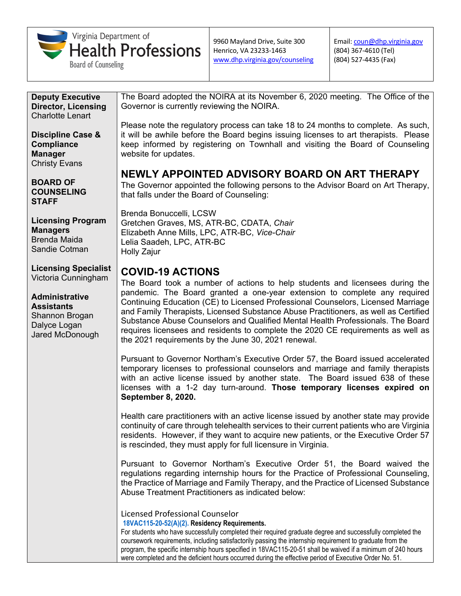

Email: [coun@dhp.virginia.gov](mailto:coun@dhp.virginia.gov) (804) 367-4610 (Tel) (804) 527-4435 (Fax)

**Deputy Executive Director, Licensing** Charlotte Lenart

**Discipline Case & Compliance Manager** Christy Evans

**BOARD OF COUNSELING STAFF**

**Licensing Program Managers** Brenda Maida Sandie Cotman

**Licensing Specialist** Victoria Cunningham

**Administrative Assistants** Shannon Brogan Dalyce Logan Jared McDonough The Board adopted the NOIRA at its November 6, 2020 meeting. The Office of the Governor is currently reviewing the NOIRA.

Please note the regulatory process can take 18 to 24 months to complete. As such, it will be awhile before the Board begins issuing licenses to art therapists. Please keep informed by registering on Townhall and visiting the Board of Counseling website for updates.

# **NEWLY APPOINTED ADVISORY BOARD ON ART THERAPY**

The Governor appointed the following persons to the Advisor Board on Art Therapy, that falls under the Board of Counseling:

Brenda Bonuccelli, LCSW Gretchen Graves, MS, ATR-BC, CDATA, *Chair* Elizabeth Anne Mills, LPC, ATR-BC, *Vice-Chair* Lelia Saadeh, LPC, ATR-BC Holly Zajur

# **COVID-19 ACTIONS**

The Board took a number of actions to help students and licensees during the pandemic. The Board granted a one-year extension to complete any required Continuing Education (CE) to Licensed Professional Counselors, Licensed Marriage and Family Therapists, Licensed Substance Abuse Practitioners, as well as Certified Substance Abuse Counselors and Qualified Mental Health Professionals. The Board requires licensees and residents to complete the 2020 CE requirements as well as the 2021 requirements by the June 30, 2021 renewal.

Pursuant to Governor Northam's Executive Order 57, the Board issued accelerated temporary licenses to professional counselors and marriage and family therapists with an active license issued by another state. The Board issued 638 of these licenses with a 1-2 day turn-around. **Those temporary licenses expired on September 8, 2020.**

Health care practitioners with an active license issued by another state may provide continuity of care through telehealth services to their current patients who are Virginia residents. However, if they want to acquire new patients, or the Executive Order 57 is rescinded, they must apply for full licensure in Virginia.

Pursuant to Governor Northam's Executive Order 51, the Board waived the regulations regarding internship hours for the Practice of Professional Counseling, the Practice of Marriage and Family Therapy, and the Practice of Licensed Substance Abuse Treatment Practitioners as indicated below:

Licensed Professional Counselor **18VAC115-20-52(A)(2). Residency Requirements.** 

For students who have successfully completed their required graduate degree and successfully completed the coursework requirements, including satisfactorily passing the internship requirement to graduate from the program, the specific internship hours specified in 18VAC115-20-51 shall be waived if a minimum of 240 hours were completed and the deficient hours occurred during the effective period of Executive Order No. 51.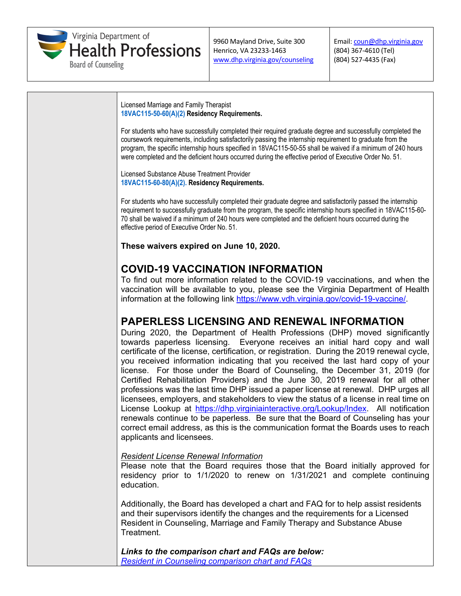

Email: [coun@dhp.virginia.gov](mailto:coun@dhp.virginia.gov) (804) 367-4610 (Tel) (804) 527-4435 (Fax)

Licensed Marriage and Family Therapist **18VAC115-50-60(A)(2) Residency Requirements.** 

For students who have successfully completed their required graduate degree and successfully completed the coursework requirements, including satisfactorily passing the internship requirement to graduate from the program, the specific internship hours specified in 18VAC115-50-55 shall be waived if a minimum of 240 hours were completed and the deficient hours occurred during the effective period of Executive Order No. 51.

Licensed Substance Abuse Treatment Provider **18VAC115-60-80(A)(2). Residency Requirements.** 

For students who have successfully completed their graduate degree and satisfactorily passed the internship requirement to successfully graduate from the program, the specific internship hours specified in 18VAC115-60- 70 shall be waived if a minimum of 240 hours were completed and the deficient hours occurred during the effective period of Executive Order No. 51.

**These waivers expired on June 10, 2020.**

### **COVID-19 VACCINATION INFORMATION**

To find out more information related to the COVID-19 vaccinations, and when the vaccination will be available to you, please see the Virginia Department of Health information at the following link [https://www.vdh.virginia.gov/covid-19-vaccine/.](https://www.vdh.virginia.gov/covid-19-vaccine/)

#### **PAPERLESS LICENSING AND RENEWAL INFORMATION**

During 2020, the Department of Health Professions (DHP) moved significantly towards paperless licensing. Everyone receives an initial hard copy and wall certificate of the license, certification, or registration. During the 2019 renewal cycle, you received information indicating that you received the last hard copy of your license. For those under the Board of Counseling, the December 31, 2019 (for Certified Rehabilitation Providers) and the June 30, 2019 renewal for all other professions was the last time DHP issued a paper license at renewal. DHP urges all licensees, employers, and stakeholders to view the status of a license in real time on License Lookup at [https://dhp.virginiainteractive.org/Lookup/Index.](https://dhp.virginiainteractive.org/Lookup/Index) All notification renewals continue to be paperless. Be sure that the Board of Counseling has your correct email address, as this is the communication format the Boards uses to reach applicants and licensees.

*Resident License Renewal Information*

Please note that the Board requires those that the Board initially approved for residency prior to 1/1/2020 to renew on 1/31/2021 and complete continuing education.

Additionally, the Board has developed a chart and FAQ for to help assist residents and their supervisors identify the changes and the requirements for a Licensed Resident in Counseling, Marriage and Family Therapy and Substance Abuse Treatment.

*Links to the comparison chart and FAQs are below: [Resident in Counseling comparison chart and FAQs](https://www.dhp.virginia.gov/counseling/docs/Comparison_Counseling.docx)*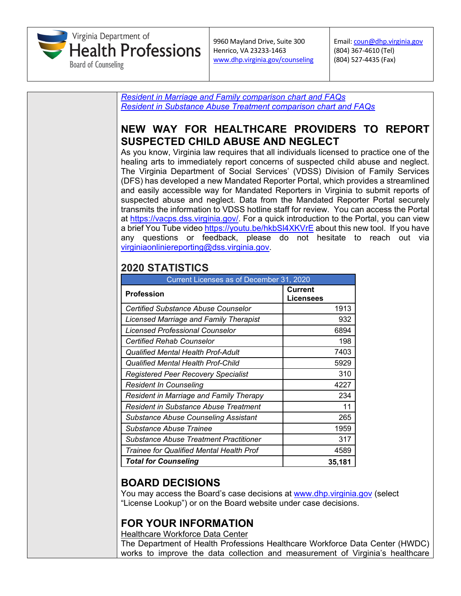

Email: [coun@dhp.virginia.gov](mailto:coun@dhp.virginia.gov) (804) 367-4610 (Tel) (804) 527-4435 (Fax)



**BOARD DECISIONS**

You may access the Board's case decisions at [www.dhp.virginia.gov](http://www.dhp.virginia.gov/) (select "License Lookup") or on the Board website under case decisions.

*Trainee for Qualified Mental Health Prof* 1989 4589 *Total for Counseling* **35,181**

# **FOR YOUR INFORMATION**

**Healthcare Workforce Data Center** 

The Department of Health Professions Healthcare Workforce Data Center (HWDC) works to improve the data collection and measurement of Virginia's healthcare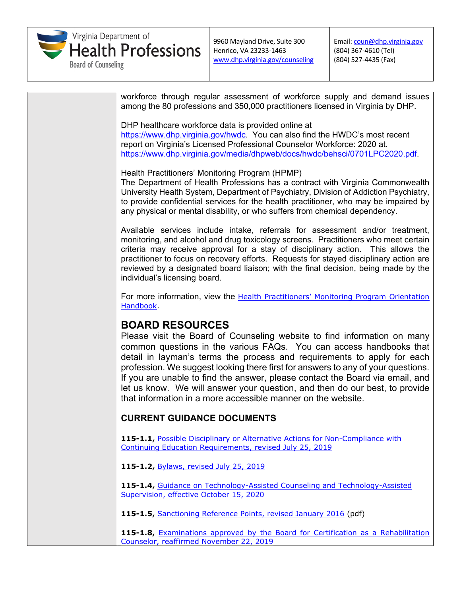

Email: [coun@dhp.virginia.gov](mailto:coun@dhp.virginia.gov) (804) 367-4610 (Tel) (804) 527-4435 (Fax)

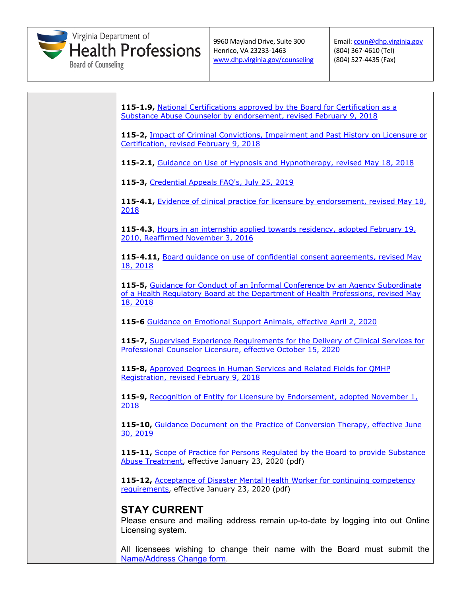

| 115-1.9, National Certifications approved by the Board for Certification as a<br>Substance Abuse Counselor by endorsement, revised February 9, 2018                             |
|---------------------------------------------------------------------------------------------------------------------------------------------------------------------------------|
| 115-2, Impact of Criminal Convictions, Impairment and Past History on Licensure or<br>Certification, revised February 9, 2018                                                   |
| 115-2.1, Guidance on Use of Hypnosis and Hypnotherapy, revised May 18, 2018                                                                                                     |
| 115-3, Credential Appeals FAQ's, July 25, 2019                                                                                                                                  |
| 115-4.1, Evidence of clinical practice for licensure by endorsement, revised May 18,<br><u> 2018 </u>                                                                           |
| 115-4.3, Hours in an internship applied towards residency, adopted February 19,<br>2010, Reaffirmed November 3, 2016                                                            |
| 115-4.11, Board quidance on use of confidential consent agreements, revised May<br>18, 2018                                                                                     |
| 115-5, Guidance for Conduct of an Informal Conference by an Agency Subordinate<br>of a Health Regulatory Board at the Department of Health Professions, revised May<br>18, 2018 |
| 115-6 Guidance on Emotional Support Animals, effective April 2, 2020                                                                                                            |
| 115-7, Supervised Experience Requirements for the Delivery of Clinical Services for<br>Professional Counselor Licensure, effective October 15, 2020                             |
| 115-8, Approved Degrees in Human Services and Related Fields for QMHP<br>Registration, revised February 9, 2018                                                                 |
| 115-9, Recognition of Entity for Licensure by Endorsement, adopted November 1,<br>2018                                                                                          |
| 115-10, Guidance Document on the Practice of Conversion Therapy, effective June<br>30, 2019                                                                                     |
| 115-11, Scope of Practice for Persons Regulated by the Board to provide Substance<br>Abuse Treatment, effective January 23, 2020 (pdf)                                          |
| 115-12, Acceptance of Disaster Mental Health Worker for continuing competency<br>requirements, effective January 23, 2020 (pdf)                                                 |
| <b>STAY CURRENT</b><br>Please ensure and mailing address remain up-to-date by logging into out Online<br>Licensing system.                                                      |
| All licensees wishing to change their name with the Board must submit the<br>Name/Address Change form.                                                                          |